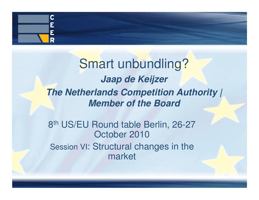

### Smart unbundling? **Jaap de Keijzer The Netherlands Competition Authority / Member of the Board**

8th US/EU Round table Berlin, 26-27 October 2010 Session VI: Structural changes in the market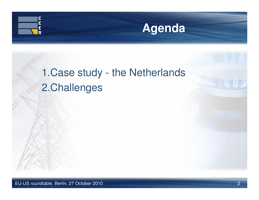



### 1.Case study - the Netherlands 2.Challenges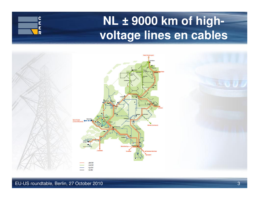# **NL ± 9000 km of highvoltage lines en cables**



C Ē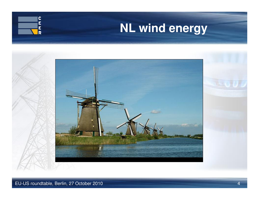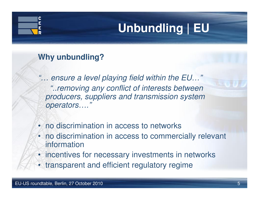# **Unbundling | EU**

#### **Why unbundling?**

- "… ensure a level playing field within the EU…" "..removing any conflict of interests between producers, suppliers and transmission system operators…."
- no discrimination in access to networks
- no discrimination in access to commercially relevant information
- incentives for necessary investments in networks
- transparent and efficient regulatory regime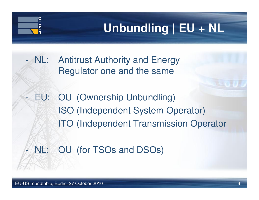# **Unbundling | EU + NL**

- NL: Antitrust Authority and Energy Regulator one and the same
- - EU: OU (Ownership Unbundling)ISO (Independent System Operator)ITO (Independent Transmission Operator
- -NL: OU (for TSOs and DSOs)

-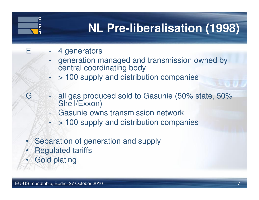# **NL Pre-liberalisation (1998)**

- $E = 4$  generators
	- generation managed and transmission owned by central coordinating body
	- > 100 supply and distribution companies-
- G all gas produced sold to Gasunie (50% state, 50% Shell/Exxon)
	- -Gasunie owns transmission network
	- > 100 supply and distribution companies-
- •Separation of generation and supply
- •Regulated tariffs
- •Gold plating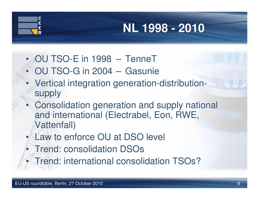# **NL 1998 - 2010**

- OU TSO-E in 1998 TenneT
- OU TSO-G in 2004 Gasunie
- Vertical integration generation-distribution-•supply
- • Consolidation generation and supply national and international (Electrabel, Eon, RWE, Vattenfall)
- Law to enforce OU at DSO level
- Trend: consolidation DSOs
- Trend: international consolidation TSOs?•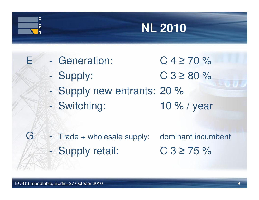# **NL 2010**

- Generation:
	- $\geq 80 \%$ Supply: C 3 <sup>≥</sup>
- Supply new entrants: 20 %
- Switching: 10 % / year - Switching:
- 

 $C$  4  $\geq$  70 %

G - Trade + wholesale supply: dominant incumbent - Supply retail: C 3 <sup>≥</sup> $C.3 \ge 75 \%$ 

-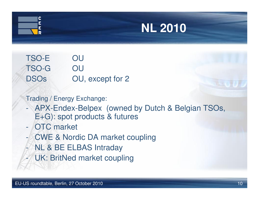



TSO-E OUOU TSO-G DSOs OU, except for 2

Trading / Energy Exchange:

- - APX-Endex-Belpex (owned by Dutch & Belgian TSOs, E+G): spot products & futures
- $\mathcal{L}^{\text{max}}_{\text{max}}$ OTC market
- -CWE & Nordic DA market coupling
- -NL & BE ELBAS Intraday
- $\mathcal{L}^{\text{max}}_{\text{max}}$ UK: BritNed market coupling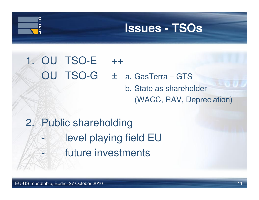### **Issues - TSOs**

### 1. OU TSO-E ++OU TSO-G <sup>±</sup> a. GasTerra – GTS b. State as shareholder

(WACC, RAV, Depreciation)

2. Public shareholding level playing field EU $\mathcal{L}_{\mathcal{A}}$ future investments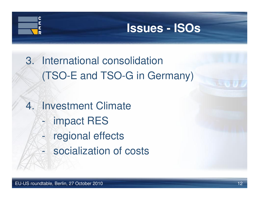

#### **Issues - ISOs**

- 3. International consolidation(TSO-E and TSO-G in Germany)
- 4. Investment Climate
	- $\mathcal{L}_{\mathcal{A}}$ impact RES
	- regional effects $\mathcal{L}_{\mathcal{A}}$
	- $\mathcal{L}_{\mathcal{A}}$ socialization of costs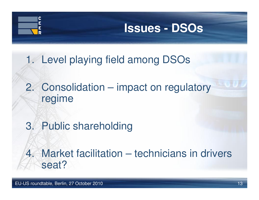

#### **Issues - DSOs**

1. Level playing field among DSOs

- 2. Consolidation impact on regulatory regime
- 3. Public shareholding

4. Market facilitation – technicians in drivers seat?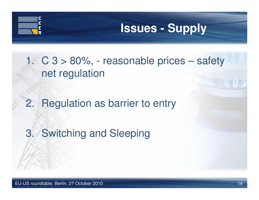# C

# **Issues - Supply**

1. C 3 > 80%, - reasonable prices – safety net regulation

2. Regulation as barrier to entry

3. Switching and Sleeping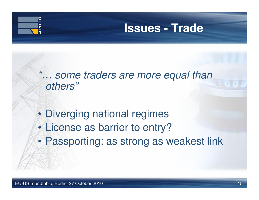

#### **Issues - Trade**

"... some traders are more equal than<br>"others" others"

- •Diverging national regimes
- •License as barrier to entry?
- •Passporting: as strong as weakest link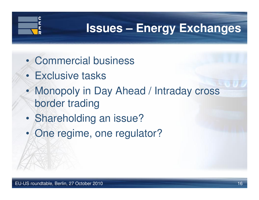

- •Commercial business
- •Exclusive tasks
- • Monopoly in Day Ahead / Intraday cross border trading
- •Shareholding an issue?
- •One regime, one regulator?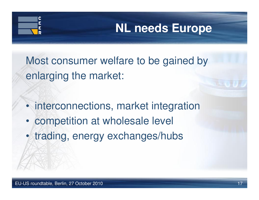# **NL needs Europe**

Most consumer welfare to be gained byenlarging the market:

- •interconnections, market integration
- •competition at wholesale level
- •trading, energy exchanges/hubs